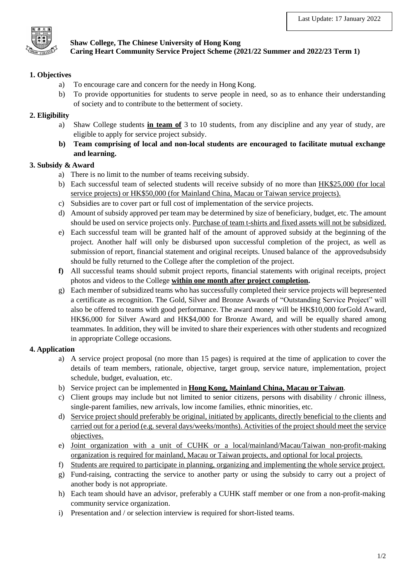

## **Shaw College, The Chinese University of Hong Kong Caring Heart Community Service Project Scheme (2021/22 Summer and 2022/23 Term 1)**

## **1. Objectives**

- a) To encourage care and concern for the needy in Hong Kong.
- b) To provide opportunities for students to serve people in need, so as to enhance their understanding of society and to contribute to the betterment of society.

# **2. Eligibility**

- a) Shaw College students **in team of** 3 to 10 students, from any discipline and any year of study, are eligible to apply for service project subsidy.
- **b) Team comprising of local and non-local students are encouraged to facilitate mutual exchange and learning.**

## **3. Subsidy & Award**

- a) There is no limit to the number of teams receiving subsidy.
- b) Each successful team of selected students will receive subsidy of no more than HK\$25,000 (for local service projects) or HK\$50,000 (for Mainland China, Macau or Taiwan service projects).
- c) Subsidies are to cover part or full cost of implementation of the service projects.
- d) Amount of subsidy approved per team may be determined by size of beneficiary, budget, etc. The amount should be used on service projects only. Purchase of team t-shirts and fixed assets will not be subsidized.
- e) Each successful team will be granted half of the amount of approved subsidy at the beginning of the project. Another half will only be disbursed upon successful completion of the project, as well as submission of report, financial statement and original receipts. Unused balance of the approvedsubsidy should be fully returned to the College after the completion of the project.
- **f)** All successful teams should submit project reports, financial statements with original receipts, project photos and videos to the College **within one month after project completion.**
- g) Each member of subsidized teams who has successfully completed their service projects will bepresented a certificate as recognition. The Gold, Silver and Bronze Awards of "Outstanding Service Project" will also be offered to teams with good performance. The award money will be HK\$10,000 forGold Award, HK\$6,000 for Silver Award and HK\$4,000 for Bronze Award, and will be equally shared among teammates. In addition, they will be invited to share their experiences with other students and recognized in appropriate College occasions.

## **4. Application**

- a) A service project proposal (no more than 15 pages) is required at the time of application to cover the details of team members, rationale, objective, target group, service nature, implementation, project schedule, budget, evaluation, etc.
- b) Service project can be implemented in **Hong Kong, Mainland China, Macau or Taiwan**.
- c) Client groups may include but not limited to senior citizens, persons with disability / chronic illness, single-parent families, new arrivals, low income families, ethnic minorities, etc.
- d) Service project should preferably be original, initiated by applicants, directly beneficial to the clients and carried out for a period (e.g. several days/weeks/months). Activities of the project should meet the service objectives.
- e) Joint organization with a unit of CUHK or a local/mainland/Macau/Taiwan non-profit-making organization is required for mainland, Macau or Taiwan projects, and optional for local projects.
- f) Students are required to participate in planning, organizing and implementing the whole service project.
- g) Fund-raising, contracting the service to another party or using the subsidy to carry out a project of another body is not appropriate.
- h) Each team should have an advisor, preferably a CUHK staff member or one from a non-profit-making community service organization.
- i) Presentation and / or selection interview is required for short-listed teams.